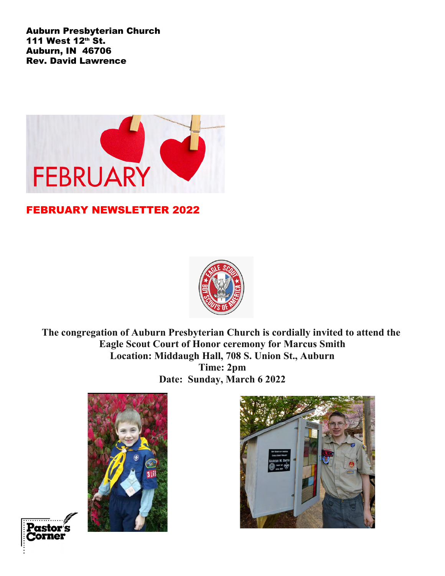Auburn Presbyterian Church 111 West 12<sup>th</sup> St. Auburn, IN 46706 Rev. David Lawrence



## FEBRUARY NEWSLETTER 2022



**The congregation of Auburn Presbyterian Church is cordially invited to attend the Eagle Scout Court of Honor ceremony for Marcus Smith Location: Middaugh Hall, 708 S. Union St., Auburn Time: 2pm Date: Sunday, March 6 2022**





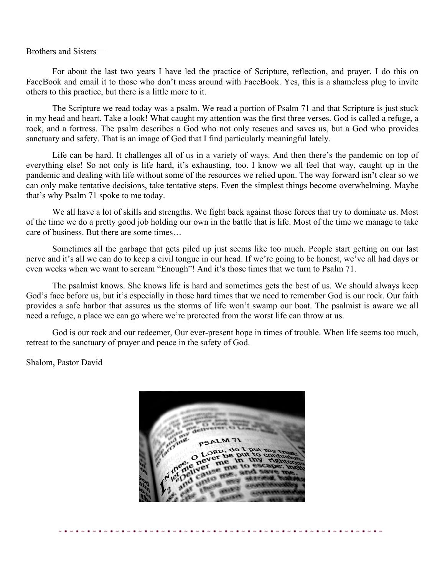Brothers and Sisters—

For about the last two years I have led the practice of Scripture, reflection, and prayer. I do this on FaceBook and email it to those who don't mess around with FaceBook. Yes, this is a shameless plug to invite others to this practice, but there is a little more to it.

The Scripture we read today was a psalm. We read a portion of Psalm 71 and that Scripture is just stuck in my head and heart. Take a look! What caught my attention was the first three verses. God is called a refuge, a rock, and a fortress. The psalm describes a God who not only rescues and saves us, but a God who provides sanctuary and safety. That is an image of God that I find particularly meaningful lately.

Life can be hard. It challenges all of us in a variety of ways. And then there's the pandemic on top of everything else! So not only is life hard, it's exhausting, too. I know we all feel that way, caught up in the pandemic and dealing with life without some of the resources we relied upon. The way forward isn't clear so we can only make tentative decisions, take tentative steps. Even the simplest things become overwhelming. Maybe that's why Psalm 71 spoke to me today.

We all have a lot of skills and strengths. We fight back against those forces that try to dominate us. Most of the time we do a pretty good job holding our own in the battle that is life. Most of the time we manage to take care of business. But there are some times…

Sometimes all the garbage that gets piled up just seems like too much. People start getting on our last nerve and it's all we can do to keep a civil tongue in our head. If we're going to be honest, we've all had days or even weeks when we want to scream "Enough"! And it's those times that we turn to Psalm 71.

The psalmist knows. She knows life is hard and sometimes gets the best of us. We should always keep God's face before us, but it's especially in those hard times that we need to remember God is our rock. Our faith provides a safe harbor that assures us the storms of life won't swamp our boat. The psalmist is aware we all need a refuge, a place we can go where we're protected from the worst life can throw at us.

God is our rock and our redeemer, Our ever-present hope in times of trouble. When life seems too much, retreat to the sanctuary of prayer and peace in the safety of God.

Shalom, Pastor David